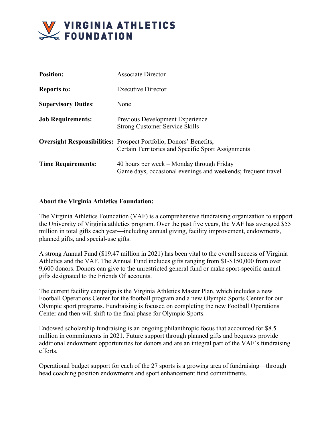

| <b>Position:</b>           | <b>Associate Director</b>                                                                                                      |
|----------------------------|--------------------------------------------------------------------------------------------------------------------------------|
| <b>Reports to:</b>         | <b>Executive Director</b>                                                                                                      |
| <b>Supervisory Duties:</b> | None                                                                                                                           |
| <b>Job Requirements:</b>   | Previous Development Experience<br><b>Strong Customer Service Skills</b>                                                       |
|                            | <b>Oversight Responsibilities:</b> Prospect Portfolio, Donors' Benefits,<br>Certain Territories and Specific Sport Assignments |
| <b>Time Requirements:</b>  | 40 hours per week $-$ Monday through Friday<br>Game days, occasional evenings and weekends; frequent travel                    |

## **About the Virginia Athletics Foundation:**

The Virginia Athletics Foundation (VAF) is a comprehensive fundraising organization to support the University of Virginia athletics program. Over the past five years, the VAF has averaged \$55 million in total gifts each year—including annual giving, facility improvement, endowments, planned gifts, and special-use gifts.

A strong Annual Fund (\$19.47 million in 2021) has been vital to the overall success of Virginia Athletics and the VAF. The Annual Fund includes gifts ranging from \$1-\$150,000 from over 9,600 donors. Donors can give to the unrestricted general fund or make sport-specific annual gifts designated to the Friends Of accounts.

The current facility campaign is the Virginia Athletics Master Plan, which includes a new Football Operations Center for the football program and a new Olympic Sports Center for our Olympic sport programs. Fundraising is focused on completing the new Football Operations Center and then will shift to the final phase for Olympic Sports.

Endowed scholarship fundraising is an ongoing philanthropic focus that accounted for \$8.5 million in commitments in 2021. Future support through planned gifts and bequests provide additional endowment opportunities for donors and are an integral part of the VAF's fundraising efforts.

Operational budget support for each of the 27 sports is a growing area of fundraising—through head coaching position endowments and sport enhancement fund commitments.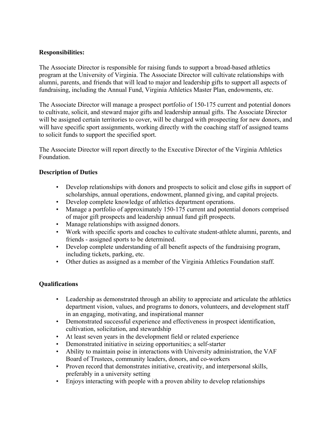## **Responsibilities:**

The Associate Director is responsible for raising funds to support a broad-based athletics program at the University of Virginia. The Associate Director will cultivate relationships with alumni, parents, and friends that will lead to major and leadership gifts to support all aspects of fundraising, including the Annual Fund, Virginia Athletics Master Plan, endowments, etc.

The Associate Director will manage a prospect portfolio of 150-175 current and potential donors to cultivate, solicit, and steward major gifts and leadership annual gifts. The Associate Director will be assigned certain territories to cover, will be charged with prospecting for new donors, and will have specific sport assignments, working directly with the coaching staff of assigned teams to solicit funds to support the specified sport.

The Associate Director will report directly to the Executive Director of the Virginia Athletics Foundation.

## **Description of Duties**

- Develop relationships with donors and prospects to solicit and close gifts in support of scholarships, annual operations, endowment, planned giving, and capital projects.
- Develop complete knowledge of athletics department operations.
- Manage a portfolio of approximately 150-175 current and potential donors comprised of major gift prospects and leadership annual fund gift prospects.
- Manage relationships with assigned donors.
- Work with specific sports and coaches to cultivate student-athlete alumni, parents, and friends - assigned sports to be determined.
- Develop complete understanding of all benefit aspects of the fundraising program, including tickets, parking, etc.
- Other duties as assigned as a member of the Virginia Athletics Foundation staff.

## **Qualifications**

- Leadership as demonstrated through an ability to appreciate and articulate the athletics department vision, values, and programs to donors, volunteers, and development staff in an engaging, motivating, and inspirational manner
- Demonstrated successful experience and effectiveness in prospect identification, cultivation, solicitation, and stewardship
- At least seven years in the development field or related experience
- Demonstrated initiative in seizing opportunities; a self-starter
- Ability to maintain poise in interactions with University administration, the VAF Board of Trustees, community leaders, donors, and co-workers
- Proven record that demonstrates initiative, creativity, and interpersonal skills, preferably in a university setting
- Enjoys interacting with people with a proven ability to develop relationships